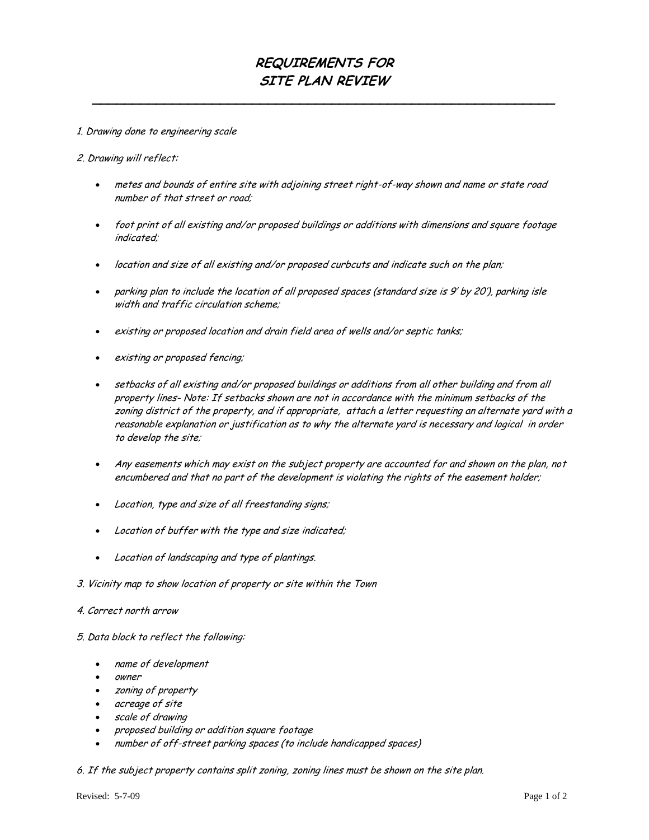## **REQUIREMENTS FOR SITE PLAN REVIEW**

**\_\_\_\_\_\_\_\_\_\_\_\_\_\_\_\_\_\_\_\_\_\_\_\_\_\_\_\_\_\_\_\_\_\_\_\_\_\_\_\_\_\_\_\_\_\_\_\_\_\_\_\_\_\_\_\_\_\_**

## 1. Drawing done to engineering scale

2. Drawing will reflect:

- metes and bounds of entire site with adjoining street right-of-way shown and name or state road number of that street or road;
- foot print of all existing and/or proposed buildings or additions with dimensions and square footage indicated;
- location and size of all existing and/or proposed curbcuts and indicate such on the plan;
- parking plan to include the location of all proposed spaces (standard size is 9' by 20'), parking isle width and traffic circulation scheme;
- existing or proposed location and drain field area of wells and/or septic tanks;
- existing or proposed fencing;
- setbacks of all existing and/or proposed buildings or additions from all other building and from all property lines- Note: If setbacks shown are not in accordance with the minimum setbacks of the zoning district of the property, and if appropriate, attach a letter requesting an alternate yard with a reasonable explanation or justification as to why the alternate yard is necessary and logical in order to develop the site;
- Any easements which may exist on the subject property are accounted for and shown on the plan, not encumbered and that no part of the development is violating the rights of the easement holder;
- Location, type and size of all freestanding signs;
- Location of buffer with the type and size indicated;
- Location of landscaping and type of plantings.
- 3. Vicinity map to show location of property or site within the Town
- 4. Correct north arrow
- 5. Data block to reflect the following:
	- name of development
	- owner
	- zoning of property
	- acreage of site
	- scale of drawing
	- proposed building or addition square footage
	- number of off-street parking spaces (to include handicapped spaces)

6. If the subject property contains split zoning, zoning lines must be shown on the site plan.